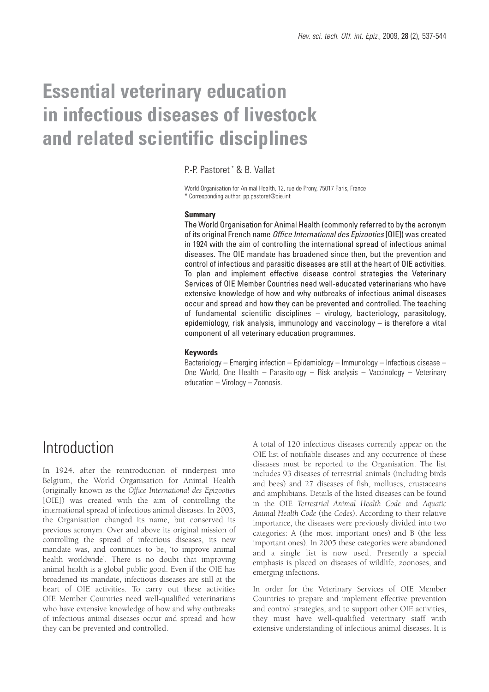# **Essential veterinary education in infectious diseases of livestock and related scientific disciplines**

P.-P. Pastoret \* & B. Vallat

World Organisation for Animal Health, 12, rue de Prony, 75017 Paris, France \* Corresponding author: pp.pastoret@oie.int

#### **Summary**

The World Organisation for Animal Health (commonly referred to by the acronym of its original French name *Office International des Epizooties* [OIE]) was created in 1924 with the aim of controlling the international spread of infectious animal diseases. The OIE mandate has broadened since then, but the prevention and control of infectious and parasitic diseases are still at the heart of OIE activities. To plan and implement effective disease control strategies the Veterinary Services of OIE Member Countries need well-educated veterinarians who have extensive knowledge of how and why outbreaks of infectious animal diseases occur and spread and how they can be prevented and controlled. The teaching of fundamental scientific disciplines – virology, bacteriology, parasitology, epidemiology, risk analysis, immunology and vaccinology – is therefore a vital component of all veterinary education programmes.

#### **Keywords**

Bacteriology – Emerging infection – Epidemiology – Immunology – Infectious disease – One World, One Health – Parasitology – Risk analysis – Vaccinology – Veterinary education – Virology – Zoonosis.

### Introduction

In 1924, after the reintroduction of rinderpest into Belgium, the World Organisation for Animal Health (originally known as the *Office International des Epizooties* [OIE]) was created with the aim of controlling the international spread of infectious animal diseases. In 2003, the Organisation changed its name, but conserved its previous acronym. Over and above its original mission of controlling the spread of infectious diseases, its new mandate was, and continues to be, 'to improve animal health worldwide'. There is no doubt that improving animal health is a global public good. Even if the OIE has broadened its mandate, infectious diseases are still at the heart of OIE activities. To carry out these activities OIE Member Countries need well-qualified veterinarians who have extensive knowledge of how and why outbreaks of infectious animal diseases occur and spread and how they can be prevented and controlled.

A total of 120 infectious diseases currently appear on the OIE list of notifiable diseases and any occurrence of these diseases must be reported to the Organisation. The list includes 93 diseases of terrestrial animals (including birds and bees) and 27 diseases of fish, molluscs, crustaceans and amphibians. Details of the listed diseases can be found in the OIE *Terrestrial Animal Health Code* and *Aquatic Animal Health Code* (the *Codes*). According to their relative importance, the diseases were previously divided into two categories: A (the most important ones) and B (the less important ones). In 2005 these categories were abandoned and a single list is now used. Presently a special emphasis is placed on diseases of wildlife, zoonoses, and emerging infections.

In order for the Veterinary Services of OIE Member Countries to prepare and implement effective prevention and control strategies, and to support other OIE activities, they must have well-qualified veterinary staff with extensive understanding of infectious animal diseases. It is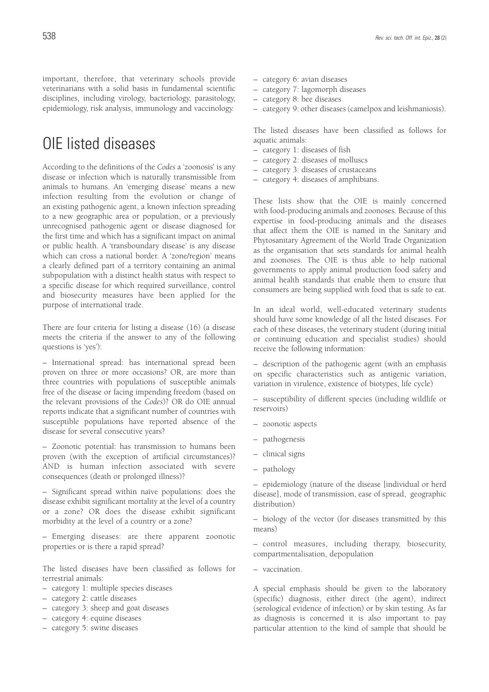important, therefore, that veterinary schools provide veterinarians with a solid basis in fundamental scientific disciplines, including virology, bacteriology, parasitology, epidemiology, risk analysis, immunology and vaccinology.

# OIE listed diseases

According to the definitions of the *Codes* a 'zoonosis' is any disease or infection which is naturally transmissible from animals to humans. An 'emerging disease' means a new infection resulting from the evolution or change of an existing pathogenic agent, a known infection spreading to a new geographic area or population, or a previously unrecognised pathogenic agent or disease diagnosed for the first time and which has a significant impact on animal or public health. A 'transboundary disease' is any disease which can cross a national border. A 'zone/region' means a clearly defined part of a territory containing an animal subpopulation with a distinct health status with respect to a specific disease for which required surveillance, control and biosecurity measures have been applied for the purpose of international trade.

There are four criteria for listing a disease (16) (a disease meets the criteria if the answer to any of the following questions is 'yes'):

– International spread: has international spread been proven on three or more occasions? OR, are more than three countries with populations of susceptible animals free of the disease or facing impending freedom (based on the relevant provisions of the *Codes*)? OR do OIE annual reports indicate that a significant number of countries with susceptible populations have reported absence of the disease for several consecutive years?

– Zoonotic potential: has transmission to humans been proven (with the exception of artificial circumstances)? AND is human infection associated with severe consequences (death or prolonged illness)?

– Significant spread within naïve populations: does the disease exhibit significant mortality at the level of a country or a zone? OR does the disease exhibit significant morbidity at the level of a country or a zone?

– Emerging diseases: are there apparent zoonotic properties or is there a rapid spread?

The listed diseases have been classified as follows for terrestrial animals:

- category 1: multiple species diseases
- category 2: cattle diseases
- category 3: sheep and goat diseases
- category 4: equine diseases
- category 5: swine diseases
- category 6: avian diseases
- category 7: lagomorph diseases
- category 8: bee diseases
- category 9: other diseases (camelpox and leishmaniosis).

The listed diseases have been classified as follows for aquatic animals:

- category 1: diseases of fish
- category 2: diseases of molluscs
- category 3: diseases of crustaceans
- category 4: diseases of amphibians.

These lists show that the OIE is mainly concerned with food-producing animals and zoonoses. Because of this expertise in food-producing animals and the diseases that affect them the OIE is named in the Sanitary and Phytosanitary Agreement of the World Trade Organization as the organisation that sets standards for animal health and zoonoses. The OIE is thus able to help national governments to apply animal production food safety and animal health standards that enable them to ensure that consumers are being supplied with food that is safe to eat.

In an ideal world, well-educated veterinary students should have some knowledge of all the listed diseases. For each of these diseases, the veterinary student (during initial or continuing education and specialist studies) should receive the following information:

– description of the pathogenic agent (with an emphasis on specific characteristics such as antigenic variation, variation in virulence, existence of biotypes, life cycle)

– susceptibility of different species (including wildlife or reservoirs)

- zoonotic aspects
- pathogenesis
- clinical signs
- pathology

– epidemiology (nature of the disease [individual or herd disease], mode of transmission, ease of spread, geographic distribution)

– biology of the vector (for diseases transmitted by this means)

– control measures, including therapy, biosecurity, compartmentalisation, depopulation

– vaccination.

A special emphasis should be given to the laboratory (specific) diagnosis, either direct (the agent), indirect (serological evidence of infection) or by skin testing. As far as diagnosis is concerned it is also important to pay particular attention to the kind of sample that should be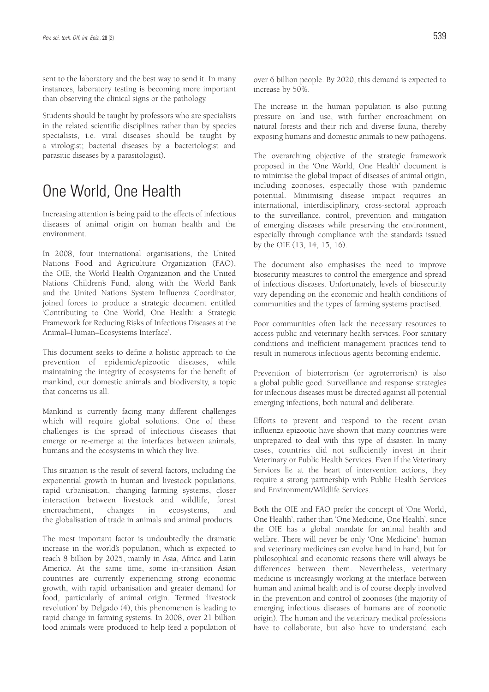sent to the laboratory and the best way to send it. In many instances, laboratory testing is becoming more important than observing the clinical signs or the pathology.

Students should be taught by professors who are specialists in the related scientific disciplines rather than by species specialists, i.e. viral diseases should be taught by a virologist; bacterial diseases by a bacteriologist and parasitic diseases by a parasitologist).

# One World, One Health

Increasing attention is being paid to the effects of infectious diseases of animal origin on human health and the environment.

In 2008, four international organisations, the United Nations Food and Agriculture Organization (FAO), the OIE, the World Health Organization and the United Nations Children's Fund, along with the World Bank and the United Nations System Influenza Coordinator, joined forces to produce a strategic document entitled 'Contributing to One World, One Health: a Strategic Framework for Reducing Risks of Infectious Diseases at the Animal–Human–Ecosystems Interface'.

This document seeks to define a holistic approach to the prevention of epidemic/epizootic diseases, while maintaining the integrity of ecosystems for the benefit of mankind, our domestic animals and biodiversity, a topic that concerns us all.

Mankind is currently facing many different challenges which will require global solutions. One of these challenges is the spread of infectious diseases that emerge or re-emerge at the interfaces between animals, humans and the ecosystems in which they live.

This situation is the result of several factors, including the exponential growth in human and livestock populations, rapid urbanisation, changing farming systems, closer interaction between livestock and wildlife, forest encroachment, changes in ecosystems, and the globalisation of trade in animals and animal products.

The most important factor is undoubtedly the dramatic increase in the world's population, which is expected to reach 8 billion by 2025, mainly in Asia, Africa and Latin America. At the same time, some in-transition Asian countries are currently experiencing strong economic growth, with rapid urbanisation and greater demand for food, particularly of animal origin. Termed 'livestock revolution' by Delgado (4), this phenomenon is leading to rapid change in farming systems. In 2008, over 21 billion food animals were produced to help feed a population of over 6 billion people. By 2020, this demand is expected to increase by 50%.

The increase in the human population is also putting pressure on land use, with further encroachment on natural forests and their rich and diverse fauna, thereby exposing humans and domestic animals to new pathogens.

The overarching objective of the strategic framework proposed in the 'One World, One Health' document is to minimise the global impact of diseases of animal origin, including zoonoses, especially those with pandemic potential. Minimising disease impact requires an international, interdisciplinary, cross-sectoral approach to the surveillance, control, prevention and mitigation of emerging diseases while preserving the environment, especially through compliance with the standards issued by the OIE (13, 14, 15, 16).

The document also emphasises the need to improve biosecurity measures to control the emergence and spread of infectious diseases. Unfortunately, levels of biosecurity vary depending on the economic and health conditions of communities and the types of farming systems practised.

Poor communities often lack the necessary resources to access public and veterinary health services. Poor sanitary conditions and inefficient management practices tend to result in numerous infectious agents becoming endemic.

Prevention of bioterrorism (or agroterrorism) is also a global public good. Surveillance and response strategies for infectious diseases must be directed against all potential emerging infections, both natural and deliberate.

Efforts to prevent and respond to the recent avian influenza epizootic have shown that many countries were unprepared to deal with this type of disaster. In many cases, countries did not sufficiently invest in their Veterinary or Public Health Services. Even if the Veterinary Services lie at the heart of intervention actions, they require a strong partnership with Public Health Services and Environment/Wildlife Services.

Both the OIE and FAO prefer the concept of 'One World, One Health', rather than 'One Medicine, One Health', since the OIE has a global mandate for animal health and welfare. There will never be only 'One Medicine': human and veterinary medicines can evolve hand in hand, but for philosophical and economic reasons there will always be differences between them. Nevertheless, veterinary medicine is increasingly working at the interface between human and animal health and is of course deeply involved in the prevention and control of zoonoses (the majority of emerging infectious diseases of humans are of zoonotic origin). The human and the veterinary medical professions have to collaborate, but also have to understand each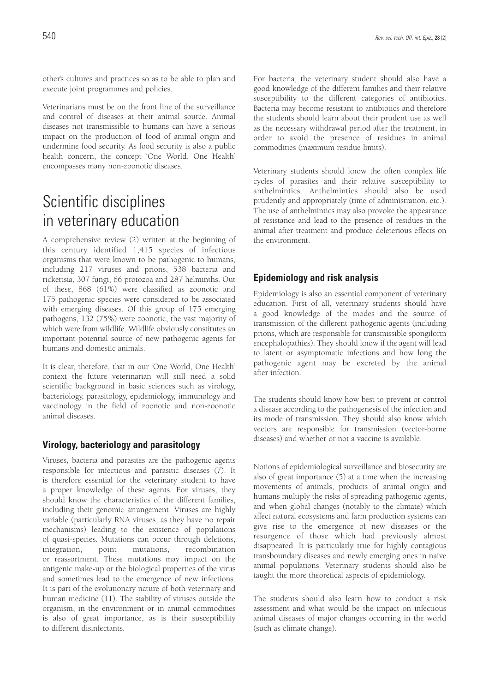other's cultures and practices so as to be able to plan and execute joint programmes and policies.

Veterinarians must be on the front line of the surveillance and control of diseases at their animal source. Animal diseases not transmissible to humans can have a serious impact on the production of food of animal origin and undermine food security. As food security is also a public health concern, the concept 'One World, One Health' encompasses many non-zoonotic diseases.

# Scientific disciplines in veterinary education

A comprehensive review (2) written at the beginning of this century identified 1,415 species of infectious organisms that were known to be pathogenic to humans, including 217 viruses and prions, 538 bacteria and rickettsia, 307 fungi, 66 protozoa and 287 helminths. Out of these, 868 (61%) were classified as zoonotic and 175 pathogenic species were considered to be associated with emerging diseases. Of this group of 175 emerging pathogens, 132 (75%) were zoonotic, the vast majority of which were from wildlife. Wildlife obviously constitutes an important potential source of new pathogenic agents for humans and domestic animals.

It is clear, therefore, that in our 'One World, One Health' context the future veterinarian will still need a solid scientific background in basic sciences such as virology, bacteriology, parasitology, epidemiology, immunology and vaccinology in the field of zoonotic and non-zoonotic animal diseases.

### **Virology, bacteriology and parasitology**

Viruses, bacteria and parasites are the pathogenic agents responsible for infectious and parasitic diseases (7). It is therefore essential for the veterinary student to have a proper knowledge of these agents. For viruses, they should know the characteristics of the different families, including their genomic arrangement. Viruses are highly variable (particularly RNA viruses, as they have no repair mechanisms) leading to the existence of populations of quasi-species. Mutations can occur through deletions, integration, point mutations, recombination or reassortment. These mutations may impact on the antigenic make-up or the biological properties of the virus and sometimes lead to the emergence of new infections. It is part of the evolutionary nature of both veterinary and human medicine (11). The stability of viruses outside the organism, in the environment or in animal commodities is also of great importance, as is their susceptibility to different disinfectants.

For bacteria, the veterinary student should also have a good knowledge of the different families and their relative susceptibility to the different categories of antibiotics. Bacteria may become resistant to antibiotics and therefore the students should learn about their prudent use as well as the necessary withdrawal period after the treatment, in order to avoid the presence of residues in animal commodities (maximum residue limits).

Veterinary students should know the often complex life cycles of parasites and their relative susceptibility to anthelmintics. Anthelmintics should also be used prudently and appropriately (time of administration, etc.). The use of anthelmintics may also provoke the appearance of resistance and lead to the presence of residues in the animal after treatment and produce deleterious effects on the environment.

### **Epidemiology and risk analysis**

Epidemiology is also an essential component of veterinary education. First of all, veterinary students should have a good knowledge of the modes and the source of transmission of the different pathogenic agents (including prions, which are responsible for transmissible spongiform encephalopathies). They should know if the agent will lead to latent or asymptomatic infections and how long the pathogenic agent may be excreted by the animal after infection.

The students should know how best to prevent or control a disease according to the pathogenesis of the infection and its mode of transmission. They should also know which vectors are responsible for transmission (vector-borne diseases) and whether or not a vaccine is available.

Notions of epidemiological surveillance and biosecurity are also of great importance (5) at a time when the increasing movements of animals, products of animal origin and humans multiply the risks of spreading pathogenic agents, and when global changes (notably to the climate) which affect natural ecosystems and farm production systems can give rise to the emergence of new diseases or the resurgence of those which had previously almost disappeared. It is particularly true for highly contagious transboundary diseases and newly emerging ones in naïve animal populations. Veterinary students should also be taught the more theoretical aspects of epidemiology.

The students should also learn how to conduct a risk assessment and what would be the impact on infectious animal diseases of major changes occurring in the world (such as climate change).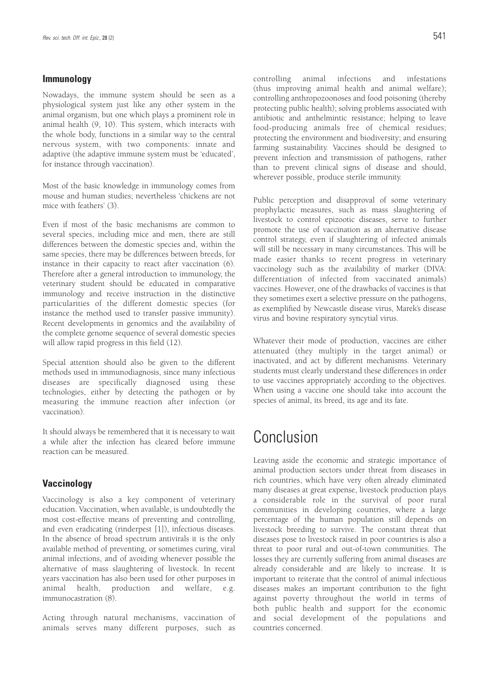### **Immunology**

Nowadays, the immune system should be seen as a physiological system just like any other system in the animal organism, but one which plays a prominent role in animal health (9, 10). This system, which interacts with the whole body, functions in a similar way to the central nervous system, with two components: innate and adaptive (the adaptive immune system must be 'educated', for instance through vaccination).

Most of the basic knowledge in immunology comes from mouse and human studies; nevertheless 'chickens are not mice with feathers' (3).

Even if most of the basic mechanisms are common to several species, including mice and men, there are still differences between the domestic species and, within the same species, there may be differences between breeds, for instance in their capacity to react after vaccination (6). Therefore after a general introduction to immunology, the veterinary student should be educated in comparative immunology and receive instruction in the distinctive particularities of the different domestic species (for instance the method used to transfer passive immunity). Recent developments in genomics and the availability of the complete genome sequence of several domestic species will allow rapid progress in this field (12).

Special attention should also be given to the different methods used in immunodiagnosis, since many infectious diseases are specifically diagnosed using these technologies, either by detecting the pathogen or by measuring the immune reaction after infection (or vaccination).

It should always be remembered that it is necessary to wait a while after the infection has cleared before immune reaction can be measured.

### **Vaccinology**

Vaccinology is also a key component of veterinary education. Vaccination, when available, is undoubtedly the most cost-effective means of preventing and controlling, and even eradicating (rinderpest [1]), infectious diseases. In the absence of broad spectrum antivirals it is the only available method of preventing, or sometimes curing, viral animal infections, and of avoiding whenever possible the alternative of mass slaughtering of livestock. In recent years vaccination has also been used for other purposes in animal health, production and welfare, e.g. immunocastration (8).

Acting through natural mechanisms, vaccination of animals serves many different purposes, such as controlling animal infections and infestations (thus improving animal health and animal welfare); controlling anthropozoonoses and food poisoning (thereby protecting public health); solving problems associated with antibiotic and anthelmintic resistance; helping to leave food-producing animals free of chemical residues; protecting the environment and biodiversity; and ensuring farming sustainability. Vaccines should be designed to prevent infection and transmission of pathogens, rather than to prevent clinical signs of disease and should, wherever possible, produce sterile immunity.

Public perception and disapproval of some veterinary prophylactic measures, such as mass slaughtering of livestock to control epizootic diseases, serve to further promote the use of vaccination as an alternative disease control strategy, even if slaughtering of infected animals will still be necessary in many circumstances. This will be made easier thanks to recent progress in veterinary vaccinology such as the availability of marker (DIVA: differentiation of infected from vaccinated animals) vaccines. However, one of the drawbacks of vaccines is that they sometimes exert a selective pressure on the pathogens, as exemplified by Newcastle disease virus, Marek's disease virus and bovine respiratory syncytial virus.

Whatever their mode of production, vaccines are either attenuated (they multiply in the target animal) or inactivated, and act by different mechanisms. Veterinary students must clearly understand these differences in order to use vaccines appropriately according to the objectives. When using a vaccine one should take into account the species of animal, its breed, its age and its fate.

## Conclusion

Leaving aside the economic and strategic importance of animal production sectors under threat from diseases in rich countries, which have very often already eliminated many diseases at great expense, livestock production plays a considerable role in the survival of poor rural communities in developing countries, where a large percentage of the human population still depends on livestock breeding to survive. The constant threat that diseases pose to livestock raised in poor countries is also a threat to poor rural and out-of-town communities. The losses they are currently suffering from animal diseases are already considerable and are likely to increase. It is important to reiterate that the control of animal infectious diseases makes an important contribution to the fight against poverty throughout the world in terms of both public health and support for the economic and social development of the populations and countries concerned.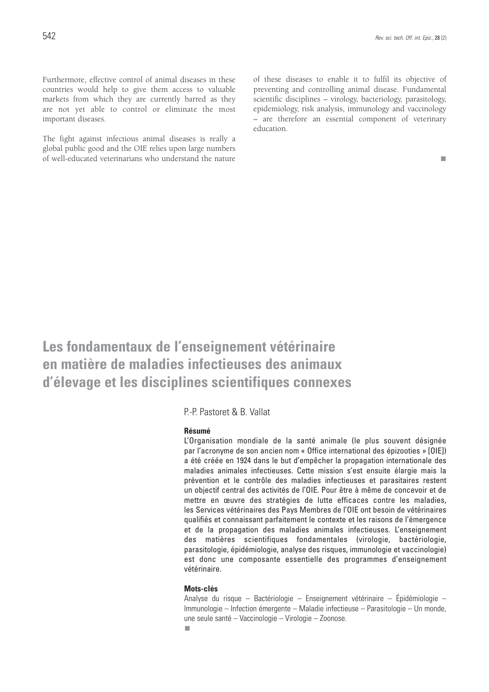Furthermore, effective control of animal diseases in these countries would help to give them access to valuable markets from which they are currently barred as they are not yet able to control or eliminate the most important diseases.

The fight against infectious animal diseases is really a global public good and the OIE relies upon large numbers of well-educated veterinarians who understand the nature of these diseases to enable it to fulfil its objective of preventing and controlling animal disease. Fundamental scientific disciplines – virology, bacteriology, parasitology, epidemiology, risk analysis, immunology and vaccinology – are therefore an essential component of veterinary education.

m.

**Les fondamentaux de l'enseignement vétérinaire en matière de maladies infectieuses des animaux d'élevage et les disciplines scientifiques connexes**

P.-P. Pastoret & B. Vallat

#### **Résumé**

L'Organisation mondiale de la santé animale (le plus souvent désignée par l'acronyme de son ancien nom « Office international des épizooties » [OIE]) a été créée en 1924 dans le but d'empêcher la propagation internationale des maladies animales infectieuses. Cette mission s'est ensuite élargie mais la prévention et le contrôle des maladies infectieuses et parasitaires restent un objectif central des activités de l'OIE. Pour être à même de concevoir et de mettre en œuvre des stratégies de lutte efficaces contre les maladies, les Services vétérinaires des Pays Membres de l'OIE ont besoin de vétérinaires qualifiés et connaissant parfaitement le contexte et les raisons de l'émergence et de la propagation des maladies animales infectieuses. L'enseignement des matières scientifiques fondamentales (virologie, bactériologie, parasitologie, épidémiologie, analyse des risques, immunologie et vaccinologie) est donc une composante essentielle des programmes d'enseignement vétérinaire.

### **Mots-clés**

Analyse du risque – Bactériologie – Enseignement vétérinaire – Épidémiologie – Immunologie – Infection émergente – Maladie infectieuse – Parasitologie – Un monde, une seule santé – Vaccinologie – Virologie – Zoonose.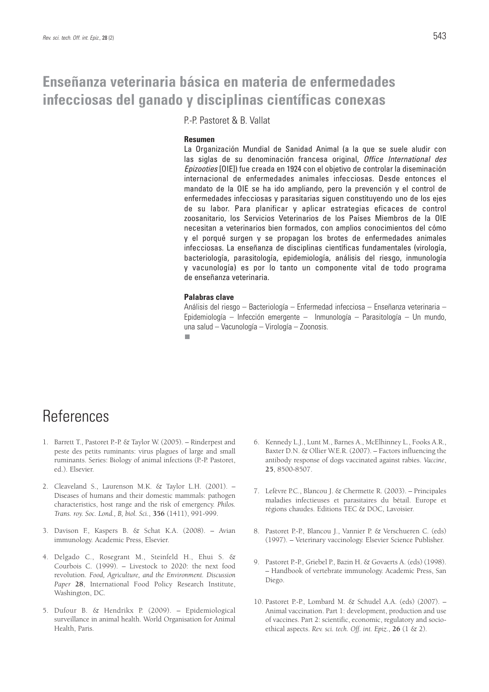# **Enseñanza veterinaria básica en materia de enfermedades infecciosas del ganado y disciplinas científicas conexas**

P.-P. Pastoret & B. Vallat

### **Resumen**

La Organización Mundial de Sanidad Animal (a la que se suele aludir con las siglas de su denominación francesa original, *Office International des Epizooties* [OIE]) fue creada en 1924 con el objetivo de controlar la diseminación internacional de enfermedades animales infecciosas. Desde entonces el mandato de la OIE se ha ido ampliando, pero la prevención y el control de enfermedades infecciosas y parasitarias siguen constituyendo uno de los ejes de su labor. Para planificar y aplicar estrategias eficaces de control zoosanitario, los Servicios Veterinarios de los Países Miembros de la OIE necesitan a veterinarios bien formados, con amplios conocimientos del cómo y el porqué surgen y se propagan los brotes de enfermedades animales infecciosas. La enseñanza de disciplinas científicas fundamentales (virología, bacteriología, parasitología, epidemiología, análisis del riesgo, inmunología y vacunología) es por lo tanto un componente vital de todo programa de enseñanza veterinaria.

#### **Palabras clave**

Análisis del riesgo – Bacteriología – Enfermedad infecciosa – Enseñanza veterinaria – Epidemiología – Infección emergente – Inmunología – Parasitología – Un mundo, una salud – Vacunología – Virología – Zoonosis.п

# **References**

- 1. Barrett T., Pastoret P.-P. & Taylor W. (2005). Rinderpest and peste des petits ruminants: virus plagues of large and small ruminants. Series: Biology of animal infections (P.-P. Pastoret, ed.). Elsevier.
- 2. Cleaveland S., Laurenson M.K. & Taylor L.H. (2001). Diseases of humans and their domestic mammals: pathogen characteristics, host range and the risk of emergency. *Philos. Trans. roy. Soc. Lond., B, biol. Sci.*, **356** (1411), 991-999.
- 3. Davison F., Kaspers B. & Schat K.A. (2008). Avian immunology. Academic Press, Elsevier.
- 4. Delgado C., Rosegrant M., Steinfeld H., Ehui S. & Courbois C. (1999). – Livestock to 2020: the next food revolution. *Food, Agriculture, and the Environment. Discussion Paper* **28**, International Food Policy Research Institute, Washington, DC.
- 5. Dufour B. & Hendrikx P. (2009). Epidemiological surveillance in animal health. World Organisation for Animal Health, Paris.
- 6. Kennedy L.J., Lunt M., Barnes A., McElhinney L., Fooks A.R., Baxter D.N. & Ollier W.E.R. (2007). – Factors influencing the antibody response of dogs vaccinated against rabies. *Vaccine*, **25**, 8500-8507.
- 7. Lefèvre P.C., Blancou J. & Chermette R. (2003). Principales maladies infectieuses et parasitaires du bétail. Europe et régions chaudes. Editions TEC & DOC, Lavoisier.
- 8. Pastoret P.-P., Blancou J., Vannier P. & Verschueren C. (eds) (1997). – Veterinary vaccinology. Elsevier Science Publisher.
- 9. Pastoret P.-P., Griebel P., Bazin H. & Govaerts A. (eds) (1998). – Handbook of vertebrate immunology. Academic Press, San Diego.
- 10. Pastoret P.-P., Lombard M. & Schudel A.A. (eds) (2007). Animal vaccination. Part 1: development, production and use of vaccines. Part 2: scientific, economic, regulatory and socioethical aspects. *Rev. sci. tech. Off. int. Epiz.*, **26** (1 & 2).